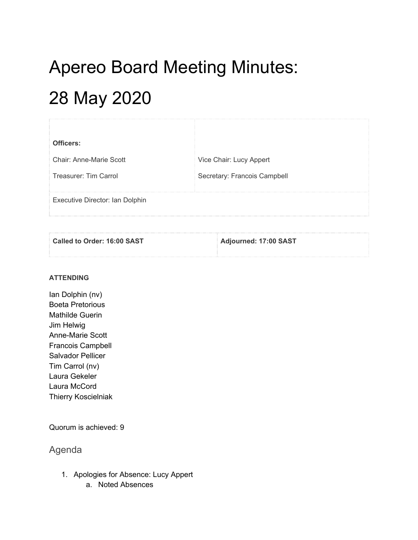## Apereo Board Meeting Minutes: 28 May 2020

| Officers:                       |                              |
|---------------------------------|------------------------------|
| Chair: Anne-Marie Scott         | Vice Chair: Lucy Appert      |
| Treasurer: Tim Carrol           | Secretary: Francois Campbell |
| Executive Director: Ian Dolphin |                              |

| Called to Order: 16:00 SAST | Adjourned: 17:00 SAST |
|-----------------------------|-----------------------|
|                             |                       |
|                             |                       |

## **ATTENDING**

Ian Dolphin (nv) Boeta Pretorious Mathilde Guerin Jim Helwig Anne-Marie Scott Francois Campbell Salvador Pellicer Tim Carrol (nv) Laura Gekeler Laura McCord Thierry Koscielniak

Quorum is achieved: 9

Agenda

- 1. Apologies for Absence: Lucy Appert
	- a. Noted Absences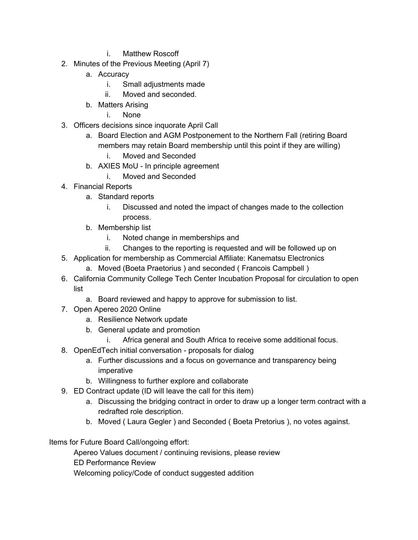- i. Matthew Roscoff
- 2. Minutes of the Previous Meeting (April 7)
	- a. Accuracy
		- i. Small adjustments made
		- ii. Moved and seconded.
	- b. Matters Arising
		- i. None
- 3. Officers decisions since inquorate April Call
	- a. Board Election and AGM Postponement to the Northern Fall (retiring Board members may retain Board membership until this point if they are willing)
		- i. Moved and Seconded
	- b. AXIES MoU In principle agreement
		- i. Moved and Seconded
- 4. Financial Reports
	- a. Standard reports
		- i. Discussed and noted the impact of changes made to the collection process.
	- b. Membership list
		- i. Noted change in memberships and
		- ii. Changes to the reporting is requested and will be followed up on
- 5. Application for membership as Commercial Affiliate: Kanematsu Electronics
	- a. Moved (Boeta Praetorius ) and seconded ( Francois Campbell )
- 6. California Community College Tech Center Incubation Proposal for circulation to open list
	- a. Board reviewed and happy to approve for submission to list.
- 7. Open Apereo 2020 Online
	- a. Resilience Network update
	- b. General update and promotion
		- i. Africa general and South Africa to receive some additional focus.
- 8. OpenEdTech initial conversation proposals for dialog
	- a. Further discussions and a focus on governance and transparency being imperative
	- b. Willingness to further explore and collaborate
- 9. ED Contract update (ID will leave the call for this item)
	- a. Discussing the bridging contract in order to draw up a longer term contract with a redrafted role description.
	- b. Moved ( Laura Gegler ) and Seconded ( Boeta Pretorius ), no votes against.

Items for Future Board Call/ongoing effort:

Apereo Values document / continuing revisions, please review

ED Performance Review

Welcoming policy/Code of conduct suggested addition